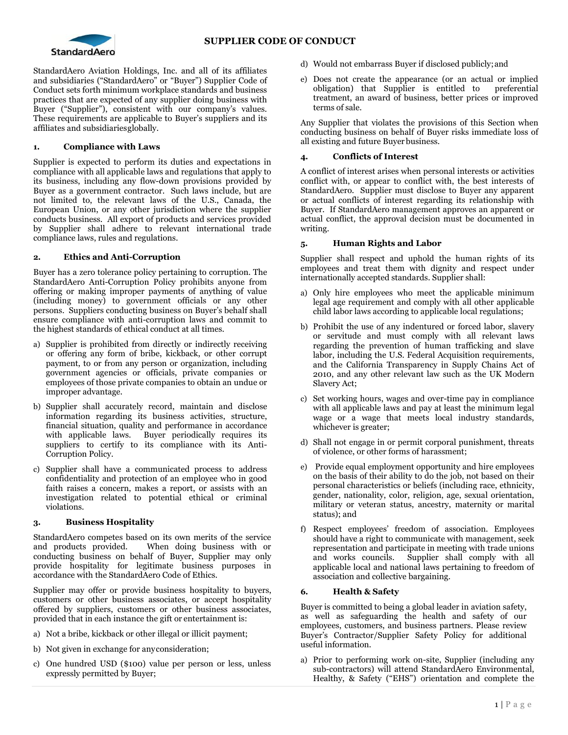



StandardAero Aviation Holdings, Inc. and all of its affiliates and subsidiaries ("StandardAero" or "Buyer") Supplier Code of Conduct sets forth minimum workplace standards and business practices that are expected of any supplier doing business with Buyer ("Supplier"), consistent with our company's values. These requirements are applicable to Buyer's suppliers and its affiliates and subsidiariesglobally.

## **1. Compliance with Laws**

Supplier is expected to perform its duties and expectations in compliance with all applicable laws and regulations that apply to its business, including any flow-down provisions provided by Buyer as a government contractor. Such laws include, but are not limited to, the relevant laws of the U.S., Canada, the European Union, or any other jurisdiction where the supplier conducts business. All export of products and services provided by Supplier shall adhere to relevant international trade compliance laws, rules and regulations.

#### **2. Ethics and Anti-Corruption**

Buyer has a zero tolerance policy pertaining to corruption. The StandardAero Anti-Corruption Policy prohibits anyone from offering or making improper payments of anything of value (including money) to government officials or any other persons. Suppliers conducting business on Buyer's behalf shall ensure compliance with anti-corruption laws and commit to the highest standards of ethical conduct at all times.

- a) Supplier is prohibited from directly or indirectly receiving or offering any form of bribe, kickback, or other corrupt payment, to or from any person or organization, including government agencies or officials, private companies or employees of those private companies to obtain an undue or improper advantage.
- b) Supplier shall accurately record, maintain and disclose information regarding its business activities, structure, financial situation, quality and performance in accordance with applicable laws. Buyer periodically requires its suppliers to certify to its compliance with its Anti-Corruption Policy.
- c) Supplier shall have a communicated process to address confidentiality and protection of an employee who in good faith raises a concern, makes a report, or assists with an investigation related to potential ethical or criminal violations.

#### **3. Business Hospitality**

StandardAero competes based on its own merits of the service and products provided. When doing business with or conducting business on behalf of Buyer, Supplier may only provide hospitality for legitimate business purposes in accordance with the StandardAero Code of Ethics.

Supplier may offer or provide business hospitality to buyers, customers or other business associates, or accept hospitality offered by suppliers, customers or other business associates, provided that in each instance the gift or entertainment is:

- a) Not a bribe, kickback or other illegal or illicit payment;
- b) Not given in exchange for anyconsideration;
- c) One hundred USD (\$100) value per person or less, unless expressly permitted by Buyer;
- d) Would not embarrass Buyer if disclosed publicly;and
- e) Does not create the appearance (or an actual or implied obligation) that Supplier is entitled to preferential treatment, an award of business, better prices or improved terms of sale.

Any Supplier that violates the provisions of this Section when conducting business on behalf of Buyer risks immediate loss of all existing and future Buyerbusiness.

### **4. Conflicts of Interest**

A conflict of interest arises when personal interests or activities conflict with, or appear to conflict with, the best interests of StandardAero. Supplier must disclose to Buyer any apparent or actual conflicts of interest regarding its relationship with Buyer. If StandardAero management approves an apparent or actual conflict, the approval decision must be documented in writing.

### **5. Human Rights and Labor**

Supplier shall respect and uphold the human rights of its employees and treat them with dignity and respect under internationally accepted standards. Supplier shall:

- a) Only hire employees who meet the applicable minimum legal age requirement and comply with all other applicable child labor laws according to applicable local regulations;
- b) Prohibit the use of any indentured or forced labor, slavery or servitude and must comply with all relevant laws regarding the prevention of human trafficking and slave labor, including the U.S. Federal Acquisition requirements, and the California Transparency in Supply Chains Act of 2010, and any other relevant law such as the UK Modern Slavery Act;
- c) Set working hours, wages and over-time pay in compliance with all applicable laws and pay at least the minimum legal wage or a wage that meets local industry standards, whichever is greater;
- d) Shall not engage in or permit corporal punishment, threats of violence, or other forms of harassment;
- e) Provide equal employment opportunity and hire employees on the basis of their ability to do the job, not based on their personal characteristics or beliefs (including race, ethnicity, gender, nationality, color, religion, age, sexual orientation, military or veteran status, ancestry, maternity or marital status); and
- f) Respect employees' freedom of association. Employees should have a right to communicate with management, seek representation and participate in meeting with trade unions and works councils. Supplier shall comply with all applicable local and national laws pertaining to freedom of association and collective bargaining.

#### **6. Health & Safety**

Buyer is committed to being a global leader in aviation safety, as well as safeguarding the health and safety of our employees, customers, and business partners. Please review Buyer's Contractor/Supplier Safety Policy for additional useful information.

a) Prior to performing work on-site, Supplier (including any sub-contractors) will attend StandardAero Environmental, Healthy, & Safety ("EHS") orientation and complete the